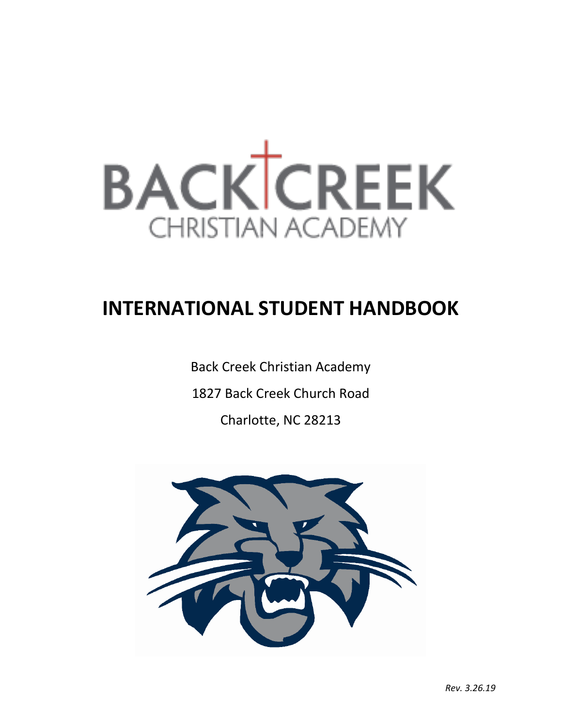

# **INTERNATIONAL STUDENT HANDBOOK**

Back Creek Christian Academy 1827 Back Creek Church Road Charlotte, NC 28213

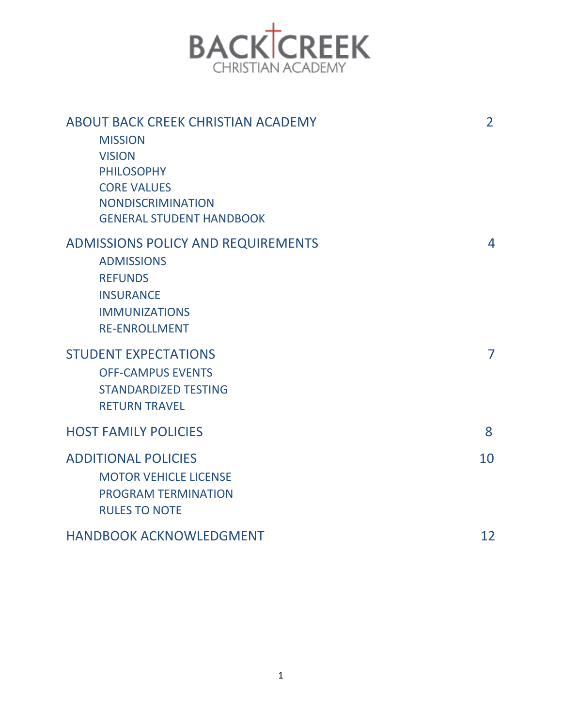

| ABOUT BACK CREEK CHRISTIAN ACADEMY<br><b>MISSION</b><br><b>VISION</b><br><b>PHILOSOPHY</b><br><b>CORE VALUES</b><br><b>NONDISCRIMINATION</b><br><b>GENERAL STUDENT HANDBOOK</b> | $\overline{2}$ |
|---------------------------------------------------------------------------------------------------------------------------------------------------------------------------------|----------------|
| <b>ADMISSIONS POLICY AND REQUIREMENTS</b><br><b>ADMISSIONS</b><br><b>REFUNDS</b><br><b>INSURANCE</b><br><b>IMMUNIZATIONS</b><br><b>RE-ENROLLMENT</b>                            | 4              |
| <b>STUDENT EXPECTATIONS</b><br><b>OFF-CAMPUS EVENTS</b><br><b>STANDARDIZED TESTING</b><br><b>RETURN TRAVEL</b>                                                                  | $\overline{7}$ |
| <b>HOST FAMILY POLICIES</b>                                                                                                                                                     | 8              |
| <b>ADDITIONAL POLICIES</b><br><b>MOTOR VEHICLE LICENSE</b><br><b>PROGRAM TERMINATION</b><br><b>RULES TO NOTE</b>                                                                | 10             |
| HANDBOOK ACKNOWLEDGMENT                                                                                                                                                         | 12             |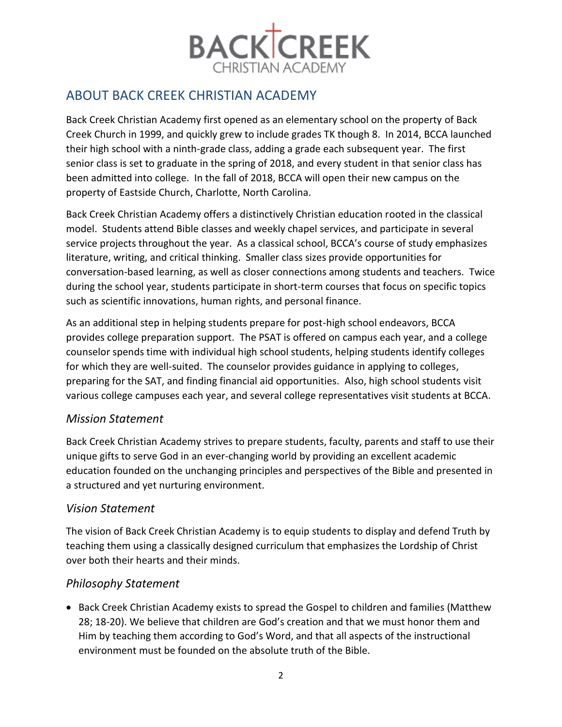

## ABOUT BACK CREEK CHRISTIAN ACADEMY

Back Creek Christian Academy first opened as an elementary school on the property of Back Creek Church in 1999, and quickly grew to include grades TK though 8. In 2014, BCCA launched their high school with a ninth-grade class, adding a grade each subsequent year. The first senior class is set to graduate in the spring of 2018, and every student in that senior class has been admitted into college. In the fall of 2018, BCCA will open their new campus on the property of Eastside Church, Charlotte, North Carolina.

Back Creek Christian Academy offers a distinctively Christian education rooted in the classical model. Students attend Bible classes and weekly chapel services, and participate in several service projects throughout the year. As a classical school, BCCA's course of study emphasizes literature, writing, and critical thinking. Smaller class sizes provide opportunities for conversation-based learning, as well as closer connections among students and teachers. Twice during the school year, students participate in short-term courses that focus on specific topics such as scientific innovations, human rights, and personal finance.

As an additional step in helping students prepare for post-high school endeavors, BCCA provides college preparation support. The PSAT is offered on campus each year, and a college counselor spends time with individual high school students, helping students identify colleges for which they are well-suited. The counselor provides guidance in applying to colleges, preparing for the SAT, and finding financial aid opportunities. Also, high school students visit various college campuses each year, and several college representatives visit students at BCCA.

## *Mission Statement*

Back Creek Christian Academy strives to prepare students, faculty, parents and staff to use their unique gifts to serve God in an ever-changing world by providing an excellent academic education founded on the unchanging principles and perspectives of the Bible and presented in a structured and yet nurturing environment.

## *Vision Statement*

The vision of Back Creek Christian Academy is to equip students to display and defend Truth by teaching them using a classically designed curriculum that emphasizes the Lordship of Christ over both their hearts and their minds.

## *Philosophy Statement*

• Back Creek Christian Academy exists to spread the Gospel to children and families (Matthew 28; 18-20). We believe that children are God's creation and that we must honor them and Him by teaching them according to God's Word, and that all aspects of the instructional environment must be founded on the absolute truth of the Bible.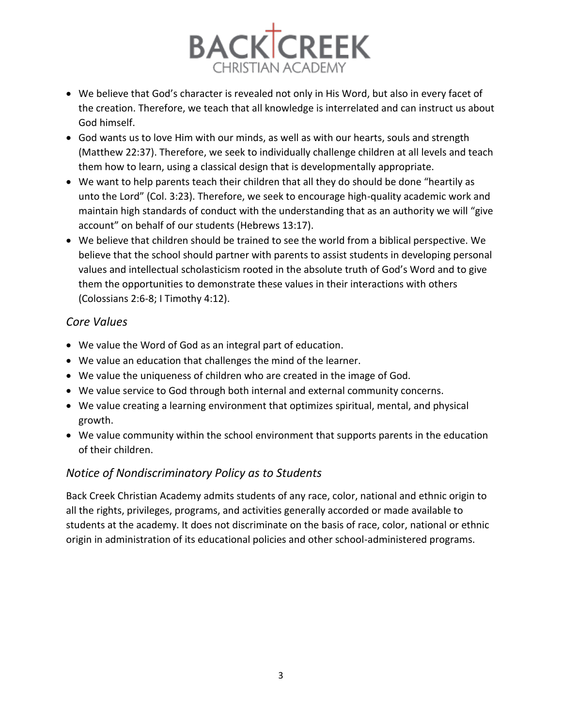

- We believe that God's character is revealed not only in His Word, but also in every facet of the creation. Therefore, we teach that all knowledge is interrelated and can instruct us about God himself.
- God wants us to love Him with our minds, as well as with our hearts, souls and strength (Matthew 22:37). Therefore, we seek to individually challenge children at all levels and teach them how to learn, using a classical design that is developmentally appropriate.
- We want to help parents teach their children that all they do should be done "heartily as unto the Lord" (Col. 3:23). Therefore, we seek to encourage high-quality academic work and maintain high standards of conduct with the understanding that as an authority we will "give account" on behalf of our students (Hebrews 13:17).
- We believe that children should be trained to see the world from a biblical perspective. We believe that the school should partner with parents to assist students in developing personal values and intellectual scholasticism rooted in the absolute truth of God's Word and to give them the opportunities to demonstrate these values in their interactions with others (Colossians 2:6-8; I Timothy 4:12).

## *Core Values*

- We value the Word of God as an integral part of education.
- We value an education that challenges the mind of the learner.
- We value the uniqueness of children who are created in the image of God.
- We value service to God through both internal and external community concerns.
- We value creating a learning environment that optimizes spiritual, mental, and physical growth.
- We value community within the school environment that supports parents in the education of their children.

## *Notice of Nondiscriminatory Policy as to Students*

Back Creek Christian Academy admits students of any race, color, national and ethnic origin to all the rights, privileges, programs, and activities generally accorded or made available to students at the academy. It does not discriminate on the basis of race, color, national or ethnic origin in administration of its educational policies and other school-administered programs.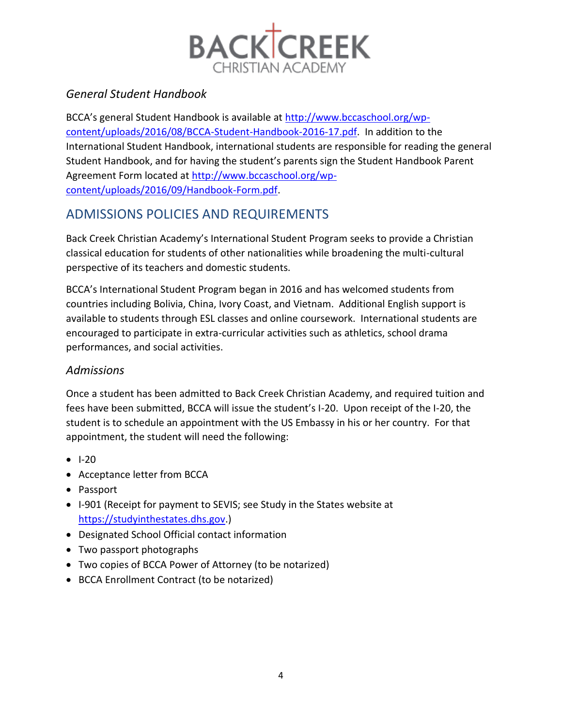

## *General Student Handbook*

BCCA's general Student Handbook is available at [http://www.bccaschool.org/wp](http://www.bccaschool.org/wp-content/uploads/2016/08/BCCA-Student-Handbook-2016-17.pdf)[content/uploads/2016/08/BCCA-Student-Handbook-2016-17.pdf.](http://www.bccaschool.org/wp-content/uploads/2016/08/BCCA-Student-Handbook-2016-17.pdf) In addition to the International Student Handbook, international students are responsible for reading the general Student Handbook, and for having the student's parents sign the Student Handbook Parent Agreement Form located at [http://www.bccaschool.org/wp](http://www.bccaschool.org/wp-content/uploads/2016/09/Handbook-Form.pdf)[content/uploads/2016/09/Handbook-Form.pdf.](http://www.bccaschool.org/wp-content/uploads/2016/09/Handbook-Form.pdf)

# ADMISSIONS POLICIES AND REQUIREMENTS

Back Creek Christian Academy's International Student Program seeks to provide a Christian classical education for students of other nationalities while broadening the multi-cultural perspective of its teachers and domestic students.

BCCA's International Student Program began in 2016 and has welcomed students from countries including Bolivia, China, Ivory Coast, and Vietnam. Additional English support is available to students through ESL classes and online coursework. International students are encouraged to participate in extra-curricular activities such as athletics, school drama performances, and social activities.

## *Admissions*

Once a student has been admitted to Back Creek Christian Academy, and required tuition and fees have been submitted, BCCA will issue the student's I-20. Upon receipt of the I-20, the student is to schedule an appointment with the US Embassy in his or her country. For that appointment, the student will need the following:

- I-20
- Acceptance letter from BCCA
- Passport
- I-901 (Receipt for payment to SEVIS; see Study in the States website at [https://studyinthestates.dhs.gov.](https://studyinthestates.dhs.gov/))
- Designated School Official contact information
- Two passport photographs
- Two copies of BCCA Power of Attorney (to be notarized)
- BCCA Enrollment Contract (to be notarized)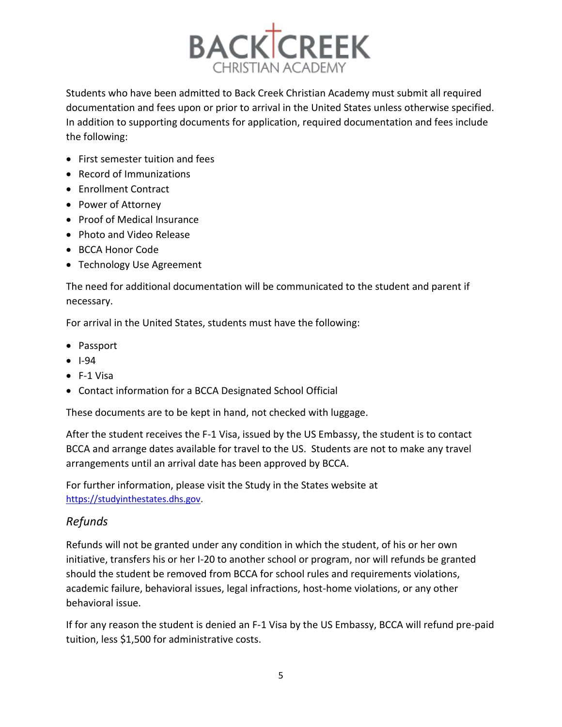

Students who have been admitted to Back Creek Christian Academy must submit all required documentation and fees upon or prior to arrival in the United States unless otherwise specified. In addition to supporting documents for application, required documentation and fees include the following:

- First semester tuition and fees
- Record of Immunizations
- Enrollment Contract
- Power of Attorney
- Proof of Medical Insurance
- Photo and Video Release
- BCCA Honor Code
- Technology Use Agreement

The need for additional documentation will be communicated to the student and parent if necessary.

For arrival in the United States, students must have the following:

- Passport
- I-94
- F-1 Visa
- Contact information for a BCCA Designated School Official

These documents are to be kept in hand, not checked with luggage.

After the student receives the F-1 Visa, issued by the US Embassy, the student is to contact BCCA and arrange dates available for travel to the US. Students are not to make any travel arrangements until an arrival date has been approved by BCCA.

For further information, please visit the Study in the States website at [https://studyinthestates.dhs.gov.](https://studyinthestates.dhs.gov/)

#### *Refunds*

Refunds will not be granted under any condition in which the student, of his or her own initiative, transfers his or her I-20 to another school or program, nor will refunds be granted should the student be removed from BCCA for school rules and requirements violations, academic failure, behavioral issues, legal infractions, host-home violations, or any other behavioral issue.

If for any reason the student is denied an F-1 Visa by the US Embassy, BCCA will refund pre-paid tuition, less \$1,500 for administrative costs.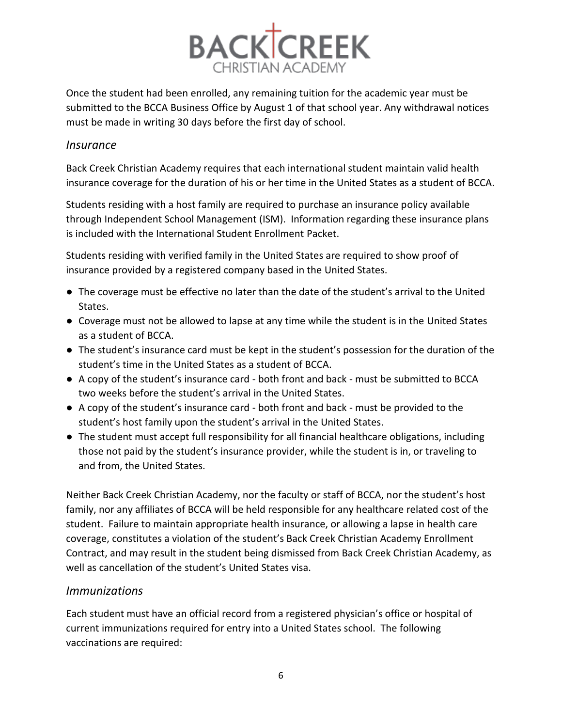

Once the student had been enrolled, any remaining tuition for the academic year must be submitted to the BCCA Business Office by August 1 of that school year. Any withdrawal notices must be made in writing 30 days before the first day of school.

#### *Insurance*

Back Creek Christian Academy requires that each international student maintain valid health insurance coverage for the duration of his or her time in the United States as a student of BCCA.

Students residing with a host family are required to purchase an insurance policy available through Independent School Management (ISM). Information regarding these insurance plans is included with the International Student Enrollment Packet.

Students residing with verified family in the United States are required to show proof of insurance provided by a registered company based in the United States.

- The coverage must be effective no later than the date of the student's arrival to the United States.
- Coverage must not be allowed to lapse at any time while the student is in the United States as a student of BCCA.
- The student's insurance card must be kept in the student's possession for the duration of the student's time in the United States as a student of BCCA.
- A copy of the student's insurance card both front and back must be submitted to BCCA two weeks before the student's arrival in the United States.
- A copy of the student's insurance card both front and back must be provided to the student's host family upon the student's arrival in the United States.
- The student must accept full responsibility for all financial healthcare obligations, including those not paid by the student's insurance provider, while the student is in, or traveling to and from, the United States.

Neither Back Creek Christian Academy, nor the faculty or staff of BCCA, nor the student's host family, nor any affiliates of BCCA will be held responsible for any healthcare related cost of the student. Failure to maintain appropriate health insurance, or allowing a lapse in health care coverage, constitutes a violation of the student's Back Creek Christian Academy Enrollment Contract, and may result in the student being dismissed from Back Creek Christian Academy, as well as cancellation of the student's United States visa.

## *Immunizations*

Each student must have an official record from a registered physician's office or hospital of current immunizations required for entry into a United States school. The following vaccinations are required: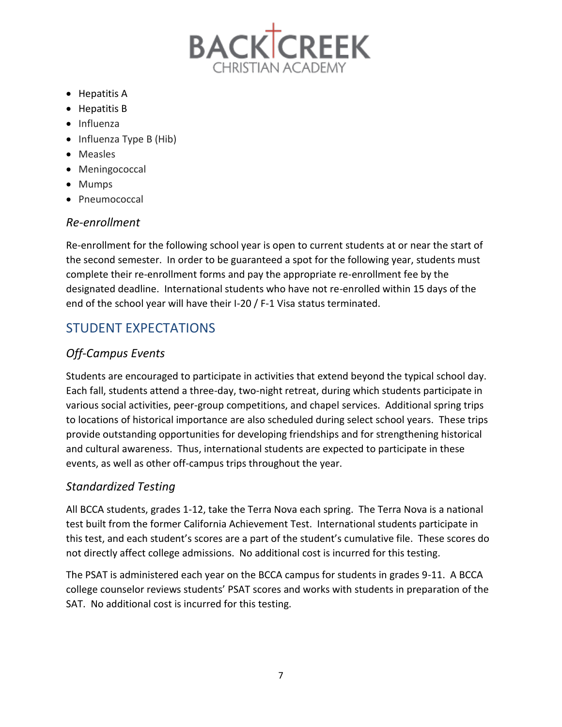

- Hepatitis A
- Hepatitis B
- Influenza
- Influenza Type B (Hib)
- Measles
- Meningococcal
- Mumps
- Pneumococcal

## *Re-enrollment*

Re-enrollment for the following school year is open to current students at or near the start of the second semester. In order to be guaranteed a spot for the following year, students must complete their re-enrollment forms and pay the appropriate re-enrollment fee by the designated deadline. International students who have not re-enrolled within 15 days of the end of the school year will have their I-20 / F-1 Visa status terminated.

# STUDENT EXPECTATIONS

## *Off-Campus Events*

Students are encouraged to participate in activities that extend beyond the typical school day. Each fall, students attend a three-day, two-night retreat, during which students participate in various social activities, peer-group competitions, and chapel services. Additional spring trips to locations of historical importance are also scheduled during select school years. These trips provide outstanding opportunities for developing friendships and for strengthening historical and cultural awareness. Thus, international students are expected to participate in these events, as well as other off-campus trips throughout the year.

## *Standardized Testing*

All BCCA students, grades 1-12, take the Terra Nova each spring. The Terra Nova is a national test built from the former California Achievement Test. International students participate in this test, and each student's scores are a part of the student's cumulative file. These scores do not directly affect college admissions. No additional cost is incurred for this testing.

The PSAT is administered each year on the BCCA campus for students in grades 9-11. A BCCA college counselor reviews students' PSAT scores and works with students in preparation of the SAT. No additional cost is incurred for this testing.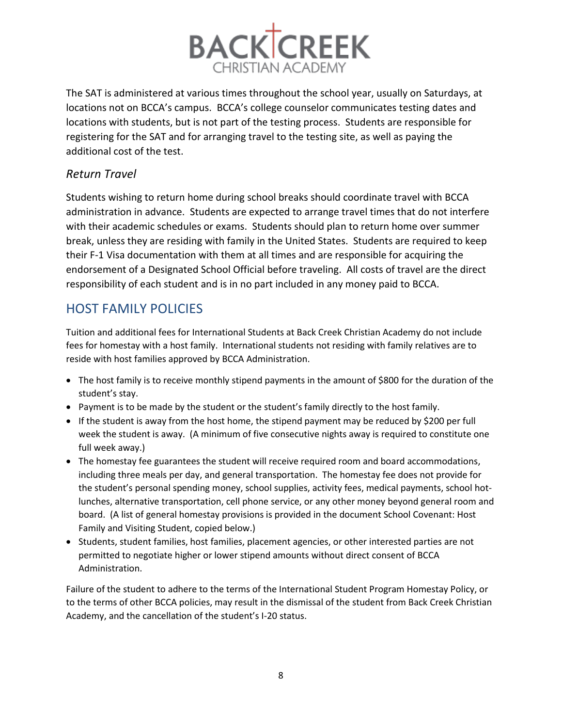

The SAT is administered at various times throughout the school year, usually on Saturdays, at locations not on BCCA's campus. BCCA's college counselor communicates testing dates and locations with students, but is not part of the testing process. Students are responsible for registering for the SAT and for arranging travel to the testing site, as well as paying the additional cost of the test.

## *Return Travel*

Students wishing to return home during school breaks should coordinate travel with BCCA administration in advance. Students are expected to arrange travel times that do not interfere with their academic schedules or exams. Students should plan to return home over summer break, unless they are residing with family in the United States. Students are required to keep their F-1 Visa documentation with them at all times and are responsible for acquiring the endorsement of a Designated School Official before traveling. All costs of travel are the direct responsibility of each student and is in no part included in any money paid to BCCA.

## HOST FAMILY POLICIES

Tuition and additional fees for International Students at Back Creek Christian Academy do not include fees for homestay with a host family. International students not residing with family relatives are to reside with host families approved by BCCA Administration.

- The host family is to receive monthly stipend payments in the amount of \$800 for the duration of the student's stay.
- Payment is to be made by the student or the student's family directly to the host family.
- If the student is away from the host home, the stipend payment may be reduced by \$200 per full week the student is away. (A minimum of five consecutive nights away is required to constitute one full week away.)
- The homestay fee guarantees the student will receive required room and board accommodations, including three meals per day, and general transportation. The homestay fee does not provide for the student's personal spending money, school supplies, activity fees, medical payments, school hotlunches, alternative transportation, cell phone service, or any other money beyond general room and board. (A list of general homestay provisions is provided in the document School Covenant: Host Family and Visiting Student, copied below.)
- Students, student families, host families, placement agencies, or other interested parties are not permitted to negotiate higher or lower stipend amounts without direct consent of BCCA Administration.

Failure of the student to adhere to the terms of the International Student Program Homestay Policy, or to the terms of other BCCA policies, may result in the dismissal of the student from Back Creek Christian Academy, and the cancellation of the student's I-20 status.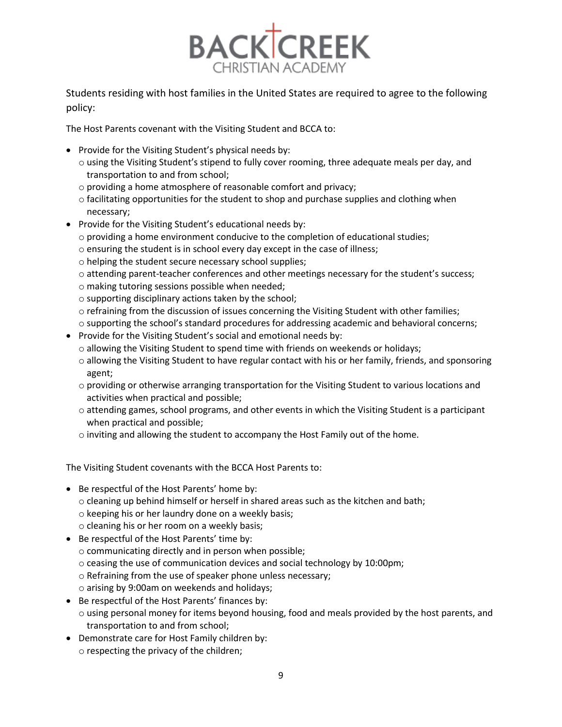

Students residing with host families in the United States are required to agree to the following policy:

The Host Parents covenant with the Visiting Student and BCCA to:

- Provide for the Visiting Student's physical needs by:
	- $\circ$  using the Visiting Student's stipend to fully cover rooming, three adequate meals per day, and transportation to and from school;
	- o providing a home atmosphere of reasonable comfort and privacy;
	- $\circ$  facilitating opportunities for the student to shop and purchase supplies and clothing when necessary;
- Provide for the Visiting Student's educational needs by:
	- $\circ$  providing a home environment conducive to the completion of educational studies;
	- o ensuring the student is in school every day except in the case of illness;
	- o helping the student secure necessary school supplies;
	- o attending parent-teacher conferences and other meetings necessary for the student's success;
	- o making tutoring sessions possible when needed;
	- o supporting disciplinary actions taken by the school;
	- o refraining from the discussion of issues concerning the Visiting Student with other families;
	- o supporting the school's standard procedures for addressing academic and behavioral concerns;
- Provide for the Visiting Student's social and emotional needs by:
	- o allowing the Visiting Student to spend time with friends on weekends or holidays;
	- $\circ$  allowing the Visiting Student to have regular contact with his or her family, friends, and sponsoring agent;
	- $\circ$  providing or otherwise arranging transportation for the Visiting Student to various locations and activities when practical and possible;
	- $\circ$  attending games, school programs, and other events in which the Visiting Student is a participant when practical and possible;
	- $\circ$  inviting and allowing the student to accompany the Host Family out of the home.

The Visiting Student covenants with the BCCA Host Parents to:

- Be respectful of the Host Parents' home by:
	- $\circ$  cleaning up behind himself or herself in shared areas such as the kitchen and bath;
	- o keeping his or her laundry done on a weekly basis;
	- o cleaning his or her room on a weekly basis;
- Be respectful of the Host Parents' time by:
	- o communicating directly and in person when possible;
	- o ceasing the use of communication devices and social technology by 10:00pm;
	- o Refraining from the use of speaker phone unless necessary;
	- o arising by 9:00am on weekends and holidays;
- Be respectful of the Host Parents' finances by:
	- $\circ$  using personal money for items beyond housing, food and meals provided by the host parents, and transportation to and from school;
- Demonstrate care for Host Family children by: o respecting the privacy of the children;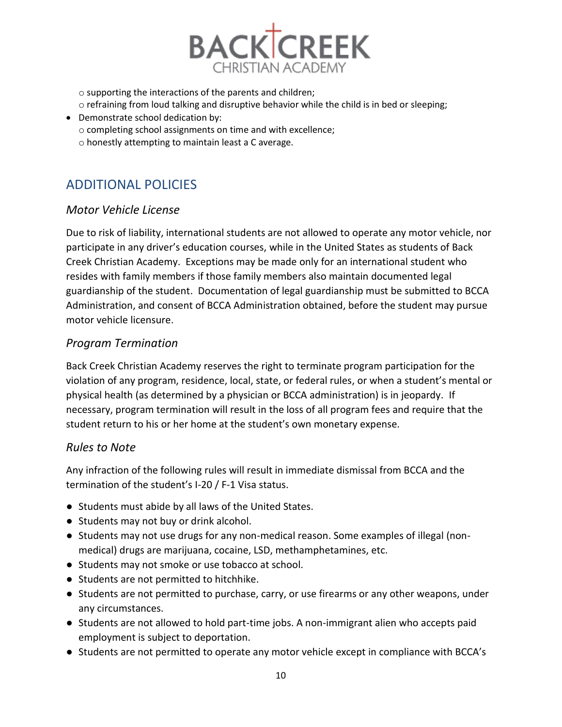

o supporting the interactions of the parents and children;

- o refraining from loud talking and disruptive behavior while the child is in bed or sleeping;
- Demonstrate school dedication by:
	- o completing school assignments on time and with excellence;
	- o honestly attempting to maintain least a C average.

# ADDITIONAL POLICIES

## *Motor Vehicle License*

Due to risk of liability, international students are not allowed to operate any motor vehicle, nor participate in any driver's education courses, while in the United States as students of Back Creek Christian Academy. Exceptions may be made only for an international student who resides with family members if those family members also maintain documented legal guardianship of the student. Documentation of legal guardianship must be submitted to BCCA Administration, and consent of BCCA Administration obtained, before the student may pursue motor vehicle licensure.

## *Program Termination*

Back Creek Christian Academy reserves the right to terminate program participation for the violation of any program, residence, local, state, or federal rules, or when a student's mental or physical health (as determined by a physician or BCCA administration) is in jeopardy. If necessary, program termination will result in the loss of all program fees and require that the student return to his or her home at the student's own monetary expense.

## *Rules to Note*

Any infraction of the following rules will result in immediate dismissal from BCCA and the termination of the student's I-20 / F-1 Visa status.

- Students must abide by all laws of the United States.
- Students may not buy or drink alcohol.
- Students may not use drugs for any non-medical reason. Some examples of illegal (nonmedical) drugs are marijuana, cocaine, LSD, methamphetamines, etc.
- Students may not smoke or use tobacco at school.
- Students are not permitted to hitchhike.
- Students are not permitted to purchase, carry, or use firearms or any other weapons, under any circumstances.
- Students are not allowed to hold part-time jobs. A non-immigrant alien who accepts paid employment is subject to deportation.
- Students are not permitted to operate any motor vehicle except in compliance with BCCA's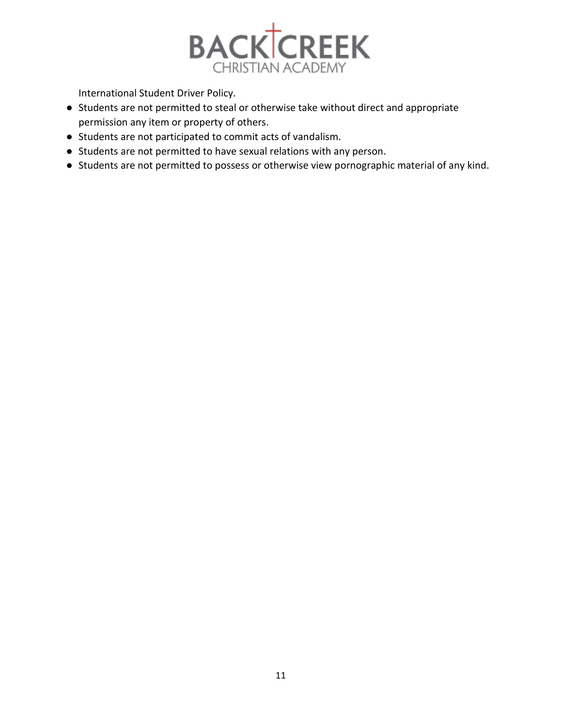

International Student Driver Policy.

- Students are not permitted to steal or otherwise take without direct and appropriate permission any item or property of others.
- Students are not participated to commit acts of vandalism.
- Students are not permitted to have sexual relations with any person.
- Students are not permitted to possess or otherwise view pornographic material of any kind.